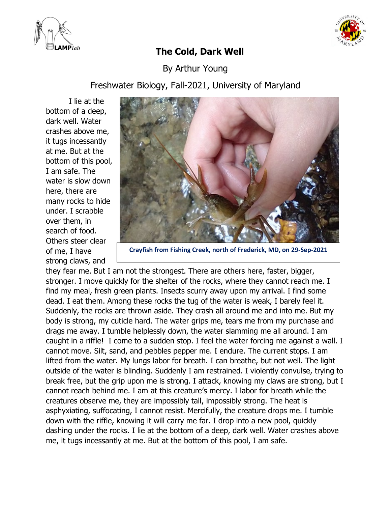



## **The Cold, Dark Well**

By Arthur Young

Freshwater Biology, Fall-2021, University of Maryland

I lie at the bottom of a deep, dark well. Water crashes above me, it tugs incessantly at me. But at the bottom of this pool, I am safe. The water is slow down here, there are many rocks to hide under. I scrabble over them, in search of food. Others steer clear of me, I have strong claws, and



**Crayfish from Fishing Creek, north of Frederick, MD, on 29-Sep-2021**

they fear me. But I am not the strongest. There are others here, faster, bigger, stronger. I move quickly for the shelter of the rocks, where they cannot reach me. I find my meal, fresh green plants. Insects scurry away upon my arrival. I find some dead. I eat them. Among these rocks the tug of the water is weak, I barely feel it. Suddenly, the rocks are thrown aside. They crash all around me and into me. But my body is strong, my cuticle hard. The water grips me, tears me from my purchase and drags me away. I tumble helplessly down, the water slamming me all around. I am caught in a riffle! I come to a sudden stop. I feel the water forcing me against a wall. I cannot move. Silt, sand, and pebbles pepper me. I endure. The current stops. I am lifted from the water. My lungs labor for breath. I can breathe, but not well. The light outside of the water is blinding. Suddenly I am restrained. I violently convulse, trying to break free, but the grip upon me is strong. I attack, knowing my claws are strong, but I cannot reach behind me. I am at this creature's mercy. I labor for breath while the creatures observe me, they are impossibly tall, impossibly strong. The heat is asphyxiating, suffocating, I cannot resist. Mercifully, the creature drops me. I tumble down with the riffle, knowing it will carry me far. I drop into a new pool, quickly dashing under the rocks. I lie at the bottom of a deep, dark well. Water crashes above me, it tugs incessantly at me. But at the bottom of this pool, I am safe.